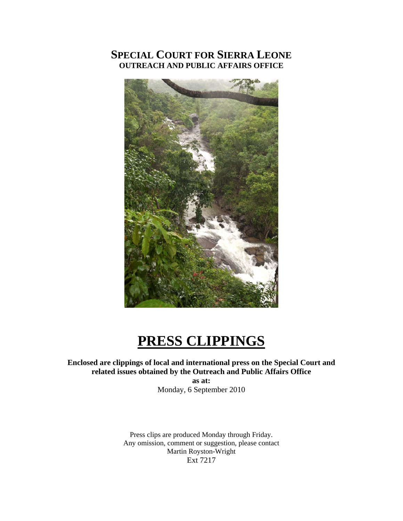# **SPECIAL COURT FOR SIERRA LEONE OUTREACH AND PUBLIC AFFAIRS OFFICE**



# **PRESS CLIPPINGS**

# **Enclosed are clippings of local and international press on the Special Court and related issues obtained by the Outreach and Public Affairs Office**

**as at:**  Monday, 6 September 2010

Press clips are produced Monday through Friday. Any omission, comment or suggestion, please contact Martin Royston-Wright Ext 7217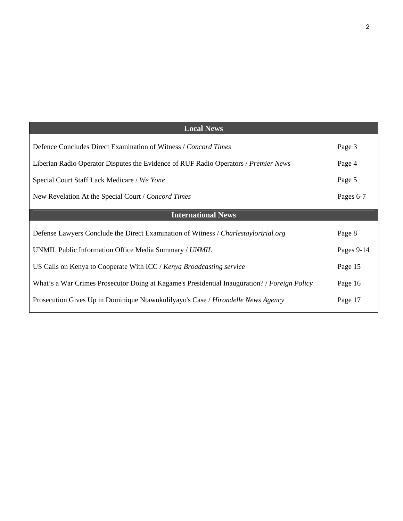| <b>Local News</b>                                                                            |            |
|----------------------------------------------------------------------------------------------|------------|
| Defence Concludes Direct Examination of Witness / Concord Times                              | Page 3     |
| Liberian Radio Operator Disputes the Evidence of RUF Radio Operators / Premier News          | Page 4     |
| Special Court Staff Lack Medicare / We Yone                                                  | Page 5     |
| New Revelation At the Special Court / Concord Times                                          | Pages 6-7  |
| <b>International News</b>                                                                    |            |
| Defense Lawyers Conclude the Direct Examination of Witness / Charlestaylortrial.org          | Page 8     |
| UNMIL Public Information Office Media Summary / UNMIL                                        | Pages 9-14 |
| US Calls on Kenya to Cooperate With ICC / Kenya Broadcasting service                         | Page 15    |
| What's a War Crimes Prosecutor Doing at Kagame's Presidential Inauguration? / Foreign Policy | Page 16    |
| Prosecution Gives Up in Dominique Ntawukulilyayo's Case / Hirondelle News Agency             |            |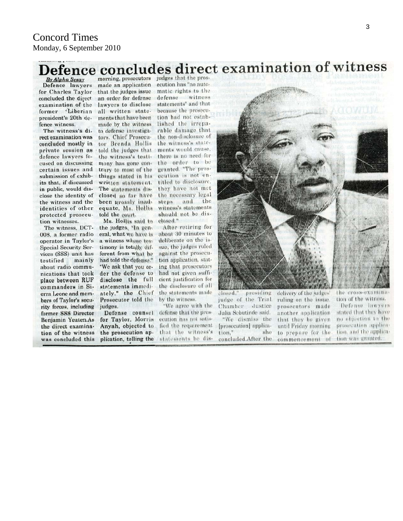# Defence concludes direct examination of witness morning, prosecutors judges that the pros-

**By Alpha Sesay** Defence lawyers for Charles Taylor concluded the direct examination of the former Liberian president's 20th defence witness.

The witness's direct examination was concluded mostly in private session as defence lawyers focused on discussing certain issues and submission of exhibits that, if discussed in public, would disclose the identity of the witness and the identities of other protected prosecution witnesses.

The witness, DCT-008, a former radio operator in Taylor's Special Security Services (SSS) unit has testified mainly about radio communications that took place between RUF commanders in Sierra Leone and members of Taylor's security forces, including former SSS Director Benjamin Yeaten.As the direct examination of the witness was concluded this

made an application ecution has "no autothat the judges issue matic rights to the an order for defense lawyers to disclose all written statements that have been made by the witness to defense investigators. Chief Prosecutor Brenda Hollis told the judges that the witness's testimony has gone contrary to most of the things stated in his written statement. The statements disclosed so far have been grossly inadequate, Ms. Hollis told the court.

Ms. Hollis said to the judges, "In general, what we have is a witness whose testimony is totally different from what he had told the defense." "We ask that you order the defense to disclose the full statements immediately," the Chief Prosecutor told the judges.

Defense counsel for Taylor, Morris Anyah, objected to the prosecution application, telling the

defense witness statements" and that because the prosecution had not established the irreparable damage that the non-disclosure of the witness's statements would cause, there is no need for the order to be granted. "The prosecution is not entitled to disclosure. they have not met the necessary legal steps and the witness's statements should not be diselosed."

After retiring for about 30 minutes to deliberate on the issue, the judges ruled against the prosecution application, stating that prosecutors had not given sufficient justification for the disclosure of all the statements made by the witness.

"We agree with the defense that the prosecution has not satisfied the requirement that the witness's statements be dis-



closed. presiding judge of the Trial. Chamber Justice Julia Sebutinde said. "We dismiss the [prosecution] applicashe tion," concluded.After the

delivery of the judges' ruling on the issue. prosecutors made another application that they be given until Friday morning to prepare for the commencement of the cross-examina tion of the witness.

Defense lawyers stated that they have no objection to the prosecution appliention, and the application was granted.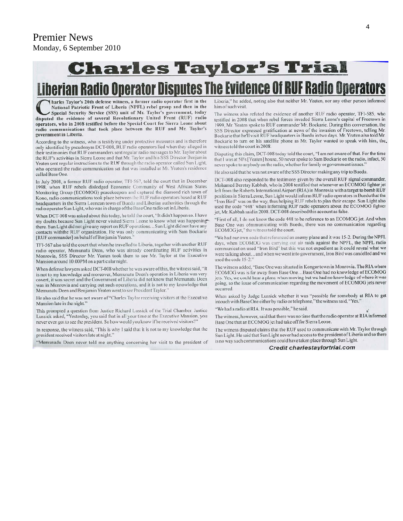# **Charles Taylor's Trial**

# **Liberian Radio Operator Disputes The Evidence Of RUF Radio Operators**

harles Taylor's 20th defense witness, a former radio operator first in the National Patriotic Front of Liberia (NPFL) rebel group and then in the Special Security Service (SSS) unit of Mr. Taylor's government, today disputed the evidence of several Revolutionary United Front (RUF) radio operators, who in 2008 testified before the Special Court for Sierra Leone about radio communications that took place between the RUF and Mr. Taylor's government in Liberia.

According to the witness, who is testifying under protective measures and is therefore only identified by pseudonym DCT-008, RUF radio operators lied when they alleged in their testimonies that RUF commanders sent regular radio messages to Mr. Taylor about the RUF's activities in Sierra Leone and that Mr. Taylor and his SSS Director Benjamin Yeaten sent regular instructions to the RUF through the radio operator called Sun Light, who operated the radio communication set that was installed at Mr. Yeaten's residence called Base One.

In July 2008, a former RUF radio operator, TFI-567, told the court that in December 1998, when RUF rebels dislodged Economic Community of West African States Monitoring Group (ECOMOG) peacekeepers and captured the diamond rich town of Kono, radio communications took place between the RUF radio operators based at RUF headquarters in the Sierra Leonean town of Buedu and Liberian authorities through the radio operator Sun Light, who was in charge of the Base One radio set in Liberia.

When DCT-008 was asked about this today, he told the court, "It didn't happen so. I have my doubts because Sun Light never visited Sierra Leone to know what was happening there. Sun Light did not give any report on RUF operations... Sun Light did not have any contacts withthe RUF organization. He was only communicating with Sam Bockarie [RUF commander] on behalf of Benjamin Yeaten.'

TFI-567 also told the court that when he travelled to Liberia, together with another RUF radio operator, Memunatu Deen, who was already coordinating RUF activities in Monrovia, SSS Director Mr. Yeaten took them to see Mr. Taylor at the Executive Mansion around 10:00PM on a particular night.

When defense lawyers asked DCT-008 whether he was aware of this, the witness said, "It is not to my knowledge and moreover, Memunatu Deen's operation in Liberia was very covert, it was secret and the Government of Liberia did not know that Memunatu Deen was in Monrovia and carrying out such operations, and it is not to my knowledge that Memunatu Deen and Benjamin Yeaten went to see President Taylor.'

He also said that he was not aware of "Charles Taylor receiving visitors at the Executive Mansion late in the night."

This prompted a question from Justice Richard Lussick of the Trial Chamber. Justice Lussick asked, "Yesterday, you said that in all your time at the Executive Mansion, you never even got to see the president. So how would you know if he received visitors?"

In response, the witness said, "This is why I said that it is not to my knowledge that the president received visitors late at night.'

"Memunadu Deen never told me anything concerning her visit to the president of

Liberia," he added, noting also that neither Mr. Yeaten, nor any other person informed him of such visit.

The witness also refuted the evidence of another RUF radio operator, TFI-585, who testified in 2008 that when rebel forces invaded Sierra Leone's capital of Freetown in 1999, Mr. Yeaten spoke to RUF commander Mr. Bockarie. During this conversation, the SSS Director expressed gratification at news of the invasion of Freetown, telling Mr. Bockarie that he'll visit RUF headquarters in Buedu in two days. Mr. Yeaten also told Mr. Bockarie to turn on his satellite phone as Mr. Taylor wanted to speak with him, the, witness told the court in 2008.

Disputing this claim, DCT-008 today told the court, "I am not aware of that. For the time that I was at 50's [Yeaten] house, 50 never spoke to Sam Bockarie on the radio, infact, 50 never spoke to anybody on the radio, whether for family or government issues.'

He also said that he was not aware of the SSS Director making any trip to Buedu.

DCT-008 also responded to the testimony given by the overall RUF signal commander, Mohamed Beretay Kabbah, who in 2008 testified that whenever an ECOMOG fighter jet left from the Roberts International Airport (RIA) in Monrovia with a target to bomb RUF positions in Sierra Leone, Sun Light would inform RUF radio operators in Buedu that the "Iron Bird" was on the way, thus helping RUF rebels to plan their escape. Sun Light also used the code "448" when informing RUF radio operators about the ECOMOG fighter jet, Mr. Kabbah said in 2008. DCT-008 described this account as false.

"First of all, I do not know the code 448 to be reference to an ECOMOG jet. And when Base One was communicating with Buedu, there was no communication regarding ECOMOG jet," the witness told the court.

"We had our own code that referenced an enemy plane and it was 15-2. During the NPFL days, when ECOMOG was carrying out air raids against the NPFL, the NPFL radio communication used "Iron Bird" but this was not expedient as it could reveal what we were talking about...and when we went into government, Iron Bird was cancelled and we used the code 15-2."

The witness added, "Base One was situated in Kongor town in Monrovia. The RIA where ECOMOG was is far away from Base One...Base One had no knowledge of ECOMOG jets. Yes, we could hear a plane when moving but we had no knowledge of where it was going, so the issue of communication regarding the movement of ECOMOG jets never occurred

When asked by Judge Lussick whether it was "possible for somebody at RIA to get intouch with Base One either by radio or telephone," the witness said, "Yes."

"We had a radio at RIA. It was possible," he said.

The witness, however, said that there was no time that the radio operator at RIA informed Base One that an ECOMOG jet had take off for Sierra Leone.

The witness disputed claims that the RUF used to communicate with Mr. Taylor through Sun Light. He said that Sun Light never had access to the president of Liberia and so there is no way such communications could have taken place through Sun Light.

Credit charlestaylortrial.com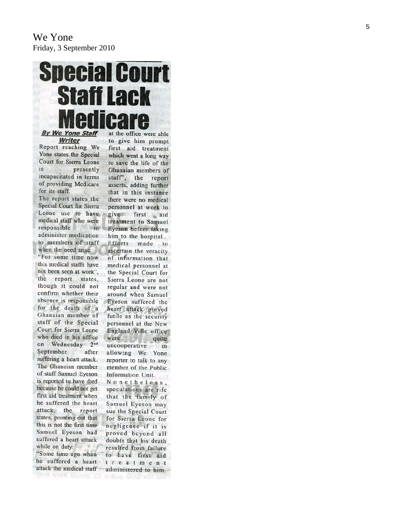# **Special Court Staff Lack By We Yone Staff** Writer

Report reaching We Yone states the Special Court for Sierra Leone  $is$ presently incapacitated in terms of providing Medicare for its staff.

The report states the Special Court for Sierra Leone use to have medical staff who were responsible  $to$ administer medication to members of staff when the need arise. "For some time now this medical staffs have not been seen at work", the report states, though it could not confirm whether their absence is responsible for the death of a Ghanaian member of staff of the Special Court for Sierra Leone who died in his office on Wednesday 2<sup>nd</sup> September after suffering a heart attack. The Ghanaian member of staff Samuel Eyeson is reported to have died because he could not get first aid treatment when he suffered the heart attack, the report states, pointing out that this is not the first time Samuel Eyeson had suffered a heart attack while on duty. "Some time ago when

he suffered a heart attack the medical staff and even bluons 10 should have long

at the office were able to give him prompt first aid treatment which went a long way to save the life of the Ghanaian members of staff", the report asserts, adding further that in this instance there were no medical personnel at work to give first aid treatment to Samuel Eyeson before taking him to the hospital. Efforts made to ascertain the veracity of information that medical personnel at the Special Court for Sierra Leone are not regular and were not around when Samuel Eyeson suffered the heart attack proved futile as the security personnel at the New England Ville office were quite uncooperative in allowing We Yone reporter to talk to any member of the Public Information Unit. Nonetheless, speculations are rife that the family of Samuel Eyeson may sue the Special Court for Sierra Leone for negligence if it is proved beyond all doubts that his death resulted from failure to have first aid  $t$  reatment

administered to him.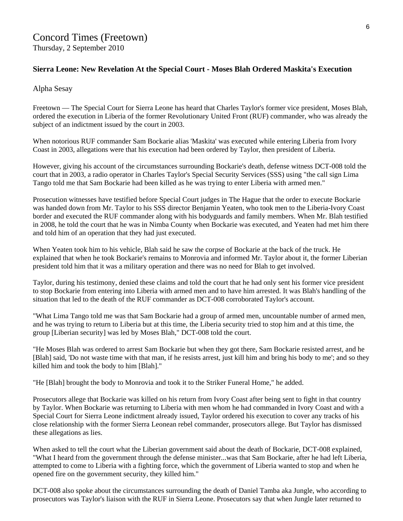## **Sierra Leone: New Revelation At the Special Court - Moses Blah Ordered Maskita's Execution**

#### Alpha Sesay

Freetown — The Special Court for Sierra Leone has heard that Charles Taylor's former vice president, Moses Blah, ordered the execution in Liberia of the former Revolutionary United Front (RUF) commander, who was already the subject of an indictment issued by the court in 2003.

When notorious RUF commander Sam Bockarie alias 'Maskita' was executed while entering Liberia from Ivory Coast in 2003, allegations were that his execution had been ordered by Taylor, then president of Liberia.

However, giving his account of the circumstances surrounding Bockarie's death, defense witness DCT-008 told the court that in 2003, a radio operator in Charles Taylor's Special Security Services (SSS) using "the call sign Lima Tango told me that Sam Bockarie had been killed as he was trying to enter Liberia with armed men."

Prosecution witnesses have testified before Special Court judges in The Hague that the order to execute Bockarie was handed down from Mr. Taylor to his SSS director Benjamin Yeaten, who took men to the Liberia-Ivory Coast border and executed the RUF commander along with his bodyguards and family members. When Mr. Blah testified in 2008, he told the court that he was in Nimba County when Bockarie was executed, and Yeaten had met him there and told him of an operation that they had just executed.

When Yeaten took him to his vehicle, Blah said he saw the corpse of Bockarie at the back of the truck. He explained that when he took Bockarie's remains to Monrovia and informed Mr. Taylor about it, the former Liberian president told him that it was a military operation and there was no need for Blah to get involved.

Taylor, during his testimony, denied these claims and told the court that he had only sent his former vice president to stop Bockarie from entering into Liberia with armed men and to have him arrested. It was Blah's handling of the situation that led to the death of the RUF commander as DCT-008 corroborated Taylor's account.

"What Lima Tango told me was that Sam Bockarie had a group of armed men, uncountable number of armed men, and he was trying to return to Liberia but at this time, the Liberia security tried to stop him and at this time, the group [Liberian security] was led by Moses Blah," DCT-008 told the court.

"He Moses Blah was ordered to arrest Sam Bockarie but when they got there, Sam Bockarie resisted arrest, and he [Blah] said, 'Do not waste time with that man, if he resists arrest, just kill him and bring his body to me'; and so they killed him and took the body to him [Blah]."

"He [Blah] brought the body to Monrovia and took it to the Striker Funeral Home," he added.

Prosecutors allege that Bockarie was killed on his return from Ivory Coast after being sent to fight in that country by Taylor. When Bockarie was returning to Liberia with men whom he had commanded in Ivory Coast and with a Special Court for Sierra Leone indictment already issued, Taylor ordered his execution to cover any tracks of his close relationship with the former Sierra Leonean rebel commander, prosecutors allege. But Taylor has dismissed these allegations as lies.

When asked to tell the court what the Liberian government said about the death of Bockarie, DCT-008 explained, "What I heard from the government through the defense minister...was that Sam Bockarie, after he had left Liberia, attempted to come to Liberia with a fighting force, which the government of Liberia wanted to stop and when he opened fire on the government security, they killed him."

DCT-008 also spoke about the circumstances surrounding the death of Daniel Tamba aka Jungle, who according to prosecutors was Taylor's liaison with the RUF in Sierra Leone. Prosecutors say that when Jungle later returned to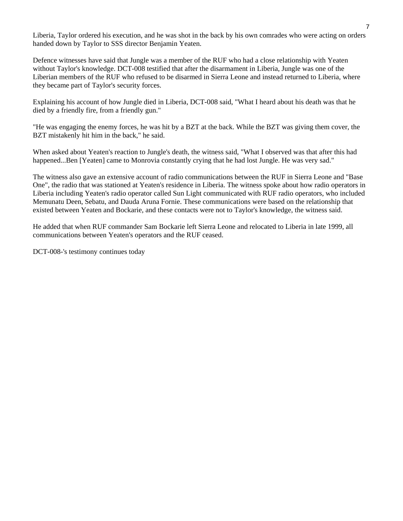Liberia, Taylor ordered his execution, and he was shot in the back by his own comrades who were acting on orders handed down by Taylor to SSS director Benjamin Yeaten.

Defence witnesses have said that Jungle was a member of the RUF who had a close relationship with Yeaten without Taylor's knowledge. DCT-008 testified that after the disarmament in Liberia, Jungle was one of the Liberian members of the RUF who refused to be disarmed in Sierra Leone and instead returned to Liberia, where they became part of Taylor's security forces.

Explaining his account of how Jungle died in Liberia, DCT-008 said, "What I heard about his death was that he died by a friendly fire, from a friendly gun."

"He was engaging the enemy forces, he was hit by a BZT at the back. While the BZT was giving them cover, the BZT mistakenly hit him in the back," he said.

When asked about Yeaten's reaction to Jungle's death, the witness said, "What I observed was that after this had happened...Ben [Yeaten] came to Monrovia constantly crying that he had lost Jungle. He was very sad."

The witness also gave an extensive account of radio communications between the RUF in Sierra Leone and "Base One", the radio that was stationed at Yeaten's residence in Liberia. The witness spoke about how radio operators in Liberia including Yeaten's radio operator called Sun Light communicated with RUF radio operators, who included Memunatu Deen, Sebatu, and Dauda Aruna Fornie. These communications were based on the relationship that existed between Yeaten and Bockarie, and these contacts were not to Taylor's knowledge, the witness said.

He added that when RUF commander Sam Bockarie left Sierra Leone and relocated to Liberia in late 1999, all communications between Yeaten's operators and the RUF ceased.

DCT-008-'s testimony continues today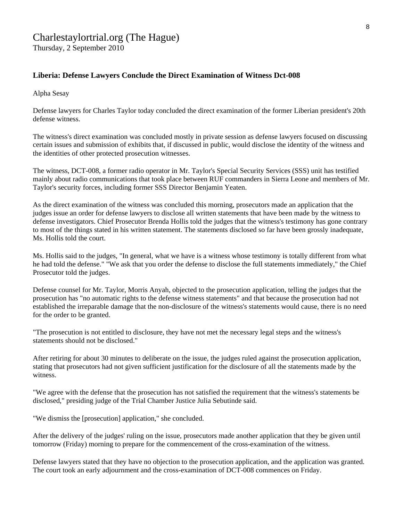# [Charlestaylortrial.org](http://www.charlestaylortrial.org/about/) (The Hague)

Thursday, 2 September 2010

### **[Liberia:](http://allafrica.com/liberia/) Defense Lawyers Conclude the Direct Examination of Witness Dct-008**

Alpha Sesay

Defense lawyers for Charles Taylor today concluded the direct examination of the former Liberian president's 20th defense witness.

The witness's direct examination was concluded mostly in private session as defense lawyers focused on discussing certain issues and submission of exhibits that, if discussed in public, would disclose the identity of the witness and the identities of other protected prosecution witnesses.

The witness, DCT-008, a former radio operator in Mr. Taylor's Special Security Services (SSS) unit has testified mainly about radio communications that took place between RUF commanders in Sierra Leone and members of Mr. Taylor's security forces, including former SSS Director Benjamin Yeaten.

As the direct examination of the witness was concluded this morning, prosecutors made an application that the judges issue an order for defense lawyers to disclose all written statements that have been made by the witness to defense investigators. Chief Prosecutor Brenda Hollis told the judges that the witness's testimony has gone contrary to most of the things stated in his written statement. The statements disclosed so far have been grossly inadequate, Ms. Hollis told the court.

Ms. Hollis said to the judges, "In general, what we have is a witness whose testimony is totally different from what he had told the defense." "We ask that you order the defense to disclose the full statements immediately," the Chief Prosecutor told the judges.

Defense counsel for Mr. Taylor, Morris Anyah, objected to the prosecution application, telling the judges that the prosecution has "no automatic rights to the defense witness statements" and that because the prosecution had not established the irreparable damage that the non-disclosure of the witness's statements would cause, there is no need for the order to be granted.

"The prosecution is not entitled to disclosure, they have not met the necessary legal steps and the witness's statements should not be disclosed."

After retiring for about 30 minutes to deliberate on the issue, the judges ruled against the prosecution application, stating that prosecutors had not given sufficient justification for the disclosure of all the statements made by the witness.

"We agree with the defense that the prosecution has not satisfied the requirement that the witness's statements be disclosed," presiding judge of the Trial Chamber Justice Julia Sebutinde said.

"We dismiss the [prosecution] application," she concluded.

After the delivery of the judges' ruling on the issue, prosecutors made another application that they be given until tomorrow (Friday) morning to prepare for the commencement of the cross-examination of the witness.

Defense lawyers stated that they have no objection to the prosecution application, and the application was granted. The court took an early adjournment and the cross-examination of DCT-008 commences on Friday.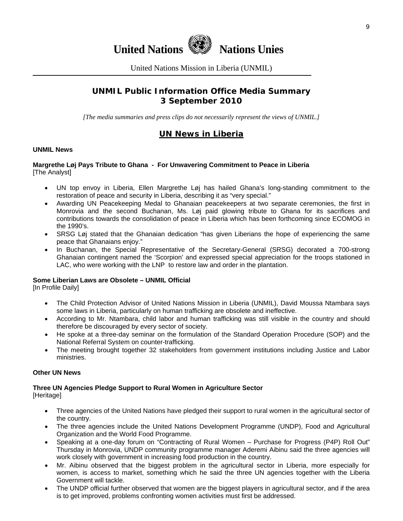



United Nations Mission in Liberia (UNMIL)

# **UNMIL Public Information Office Media Summary 3 September 2010**

*[The media summaries and press clips do not necessarily represent the views of UNMIL.]* 

# **UN News in Liberia**

#### **UNMIL News**

#### **Margrethe Løj Pays Tribute to Ghana - For Unwavering Commitment to Peace in Liberia**  [The Analyst]

- UN top envoy in Liberia, Ellen Margrethe Løj has hailed Ghana's long-standing commitment to the restoration of peace and security in Liberia, describing it as "very special."
- Awarding UN Peacekeeping Medal to Ghanaian peacekeepers at two separate ceremonies, the first in Monrovia and the second Buchanan, Ms. Løj paid glowing tribute to Ghana for its sacrifices and contributions towards the consolidation of peace in Liberia which has been forthcoming since ECOMOG in the 1990's.
- SRSG Løj stated that the Ghanaian dedication "has given Liberians the hope of experiencing the same peace that Ghanaians enjoy."
- In Buchanan, the Special Representative of the Secretary-General (SRSG) decorated a 700-strong Ghanaian contingent named the 'Scorpion' and expressed special appreciation for the troops stationed in LAC, who were working with the LNP to restore law and order in the plantation.

#### **Some Liberian Laws are Obsolete – UNMIL Official**

[In Profile Daily]

- The Child Protection Advisor of United Nations Mission in Liberia (UNMIL), David Moussa Ntambara says some laws in Liberia, particularly on human trafficking are obsolete and ineffective.
- According to Mr. Ntambara, child labor and human trafficking was still visible in the country and should therefore be discouraged by every sector of society.
- He spoke at a three-day seminar on the formulation of the Standard Operation Procedure (SOP) and the National Referral System on counter-trafficking.
- The meeting brought together 32 stakeholders from government institutions including Justice and Labor ministries.

#### **Other UN News**

#### **Three UN Agencies Pledge Support to Rural Women in Agriculture Sector [Heritage]**

- - Three agencies of the United Nations have pledged their support to rural women in the agricultural sector of the country.
	- The three agencies include the United Nations Development Programme (UNDP), Food and Agricultural Organization and the World Food Programme.
	- Speaking at a one-day forum on "Contracting of Rural Women Purchase for Progress (P4P) Roll Out" Thursday in Monrovia, UNDP community programme manager Aderemi Aibinu said the three agencies will work closely with government in increasing food production in the country.
	- Mr. Aibinu observed that the biggest problem in the agricultural sector in Liberia, more especially for women, is access to market, something which he said the three UN agencies together with the Liberia Government will tackle.
	- The UNDP official further observed that women are the biggest players in agricultural sector, and if the area is to get improved, problems confronting women activities must first be addressed.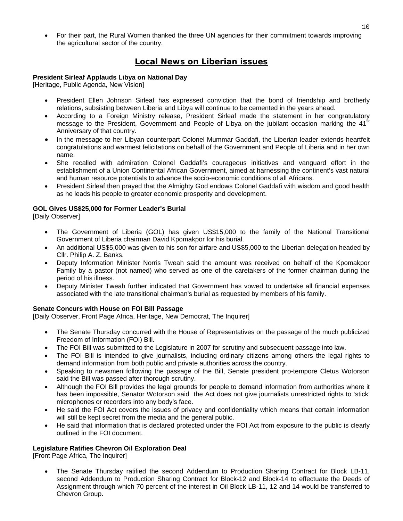• For their part, the Rural Women thanked the three UN agencies for their commitment towards improving the agricultural sector of the country.

# **Local News on Liberian issues**

#### **President Sirleaf Applauds Libya on National Day**

[Heritage, Public Agenda, New Vision]

- President Ellen Johnson Sirleaf has expressed conviction that the bond of friendship and brotherly relations, subsisting between Liberia and Libya will continue to be cemented in the years ahead.
- According to a Foreign Ministry release, President Sirleaf made the statement in her congratulatory message to the President, Government and People of Libya on the jubilant occasion marking the  $41<sup>st</sup>$ Anniversary of that country.
- In the message to her Libyan counterpart Colonel Mummar Gaddafi, the Liberian leader extends heartfelt congratulations and warmest felicitations on behalf of the Government and People of Liberia and in her own name.
- She recalled with admiration Colonel Gaddafi's courageous initiatives and vanguard effort in the establishment of a Union Continental African Government, aimed at harnessing the continent's vast natural and human resource potentials to advance the socio-economic conditions of all Africans.
- President Sirleaf then prayed that the Almighty God endows Colonel Gaddafi with wisdom and good health as he leads his people to greater economic prosperity and development.

#### **GOL Gives US\$25,000 for Former Leader's Burial**

[Daily Observer]

- The Government of Liberia (GOL) has given US\$15,000 to the family of the National Transitional Government of Liberia chairman David Kpomakpor for his burial.
- An additional US\$5,000 was given to his son for airfare and US\$5,000 to the Liberian delegation headed by Cllr. Philip A. Z. Banks.
- Deputy Information Minister Norris Tweah said the amount was received on behalf of the Kpomakpor Family by a pastor (not named) who served as one of the caretakers of the former chairman during the period of his illness.
- Deputy Minister Tweah further indicated that Government has vowed to undertake all financial expenses associated with the late transitional chairman's burial as requested by members of his family.

#### **Senate Concurs with House on FOI Bill Passage**

[Daily Observer, Front Page Africa, Heritage, New Democrat, The Inquirer]

- The Senate Thursday concurred with the House of Representatives on the passage of the much publicized Freedom of Information (FOI) Bill.
- The FOI Bill was submitted to the Legislature in 2007 for scrutiny and subsequent passage into law.
- The FOI Bill is intended to give journalists, including ordinary citizens among others the legal rights to demand information from both public and private authorities across the country.
- Speaking to newsmen following the passage of the Bill, Senate president pro-tempore Cletus Wotorson said the Bill was passed after thorough scrutiny.
- Although the FOI Bill provides the legal grounds for people to demand information from authorities where it has been impossible, Senator Wotorson said the Act does not give journalists unrestricted rights to 'stick' microphones or recorders into any body's face.
- He said the FOI Act covers the issues of privacy and confidentiality which means that certain information will still be kept secret from the media and the general public.
- He said that information that is declared protected under the FOI Act from exposure to the public is clearly outlined in the FOI document.

#### **Legislature Ratifies Chevron Oil Exploration Deal**

[Front Page Africa, The Inquirer]

• The Senate Thursday ratified the second Addendum to Production Sharing Contract for Block LB-11, second Addendum to Production Sharing Contract for Block-12 and Block-14 to effectuate the Deeds of Assignment through which 70 percent of the interest in Oil Block LB-11, 12 and 14 would be transferred to Chevron Group.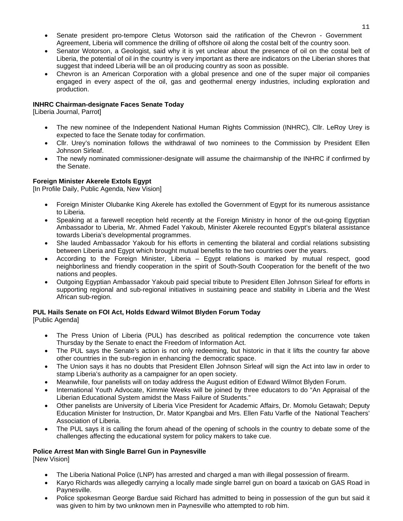- Senate president pro-tempore Cletus Wotorson said the ratification of the Chevron Government Agreement, Liberia will commence the drilling of offshore oil along the costal belt of the country soon.
- Senator Wotorson, a Geologist, said why it is yet unclear about the presence of oil on the costal belt of Liberia, the potential of oil in the country is very important as there are indicators on the Liberian shores that suggest that indeed Liberia will be an oil producing country as soon as possible.
- Chevron is an American Corporation with a global presence and one of the super major oil companies engaged in every aspect of the oil, gas and geothermal energy industries, including exploration and production.

#### **INHRC Chairman-designate Faces Senate Today**

[Liberia Journal, Parrot]

- The new nominee of the Independent National Human Rights Commission (INHRC), Cllr. LeRoy Urey is expected to face the Senate today for confirmation.
- Cllr. Urey's nomination follows the withdrawal of two nominees to the Commission by President Ellen Johnson Sirleaf.
- The newly nominated commissioner-designate will assume the chairmanship of the INHRC if confirmed by the Senate.

#### **Foreign Minister Akerele Extols Egypt**

[In Profile Daily, Public Agenda, New Vision]

- Foreign Minister Olubanke King Akerele has extolled the Government of Egypt for its numerous assistance to Liberia.
- Speaking at a farewell reception held recently at the Foreign Ministry in honor of the out-going Egyptian Ambassador to Liberia, Mr. Ahmed Fadel Yakoub, Minister Akerele recounted Egypt's bilateral assistance towards Liberia's developmental programmes.
- She lauded Ambassador Yakoub for his efforts in cementing the bilateral and cordial relations subsisting between Liberia and Egypt which brought mutual benefits to the two countries over the years.
- According to the Foreign Minister, Liberia Egypt relations is marked by mutual respect, good neighborliness and friendly cooperation in the spirit of South-South Cooperation for the benefit of the two nations and peoples.
- Outgoing Egyptian Ambassador Yakoub paid special tribute to President Ellen Johnson Sirleaf for efforts in supporting regional and sub-regional initiatives in sustaining peace and stability in Liberia and the West African sub-region.

#### **PUL Hails Senate on FOI Act, Holds Edward Wilmot Blyden Forum Today**

[Public Agenda]

- The Press Union of Liberia (PUL) has described as political redemption the concurrence vote taken Thursday by the Senate to enact the Freedom of Information Act.
- The PUL says the Senate's action is not only redeeming, but historic in that it lifts the country far above other countries in the sub-region in enhancing the democratic space.
- The Union says it has no doubts that President Ellen Johnson Sirleaf will sign the Act into law in order to stamp Liberia's authority as a campaigner for an open society.
- Meanwhile, four panelists will on today address the August edition of Edward Wilmot Blyden Forum.
- International Youth Advocate, Kimmie Weeks will be joined by three educators to do "An Appraisal of the Liberian Educational System amidst the Mass Failure of Students."
- Other panelists are University of Liberia Vice President for Academic Affairs, Dr. Momolu Getawah; Deputy Education Minister for Instruction, Dr. Mator Kpangbai and Mrs. Ellen Fatu Varfle of the National Teachers' Association of Liberia.
- The PUL says it is calling the forum ahead of the opening of schools in the country to debate some of the challenges affecting the educational system for policy makers to take cue.

#### **Police Arrest Man with Single Barrel Gun in Paynesville**

[New Vision]

- The Liberia National Police (LNP) has arrested and charged a man with illegal possession of firearm.
- Karyo Richards was allegedly carrying a locally made single barrel gun on board a taxicab on GAS Road in Paynesville.
- Police spokesman George Bardue said Richard has admitted to being in possession of the gun but said it was given to him by two unknown men in Paynesville who attempted to rob him.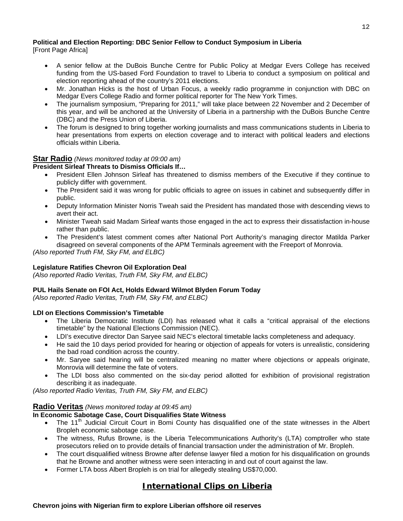## **Political and Election Reporting: DBC Senior Fellow to Conduct Symposium in Liberia**

[Front Page Africa]

- A senior fellow at the DuBois Bunche Centre for Public Policy at Medgar Evers College has received funding from the US-based Ford Foundation to travel to Liberia to conduct a symposium on political and election reporting ahead of the country's 2011 elections.
- Mr. Jonathan Hicks is the host of Urban Focus, a weekly radio programme in conjunction with DBC on Medgar Evers College Radio and former political reporter for The New York Times.
- The journalism symposium, "Preparing for 2011," will take place between 22 November and 2 December of this year, and will be anchored at the University of Liberia in a partnership with the DuBois Bunche Centre (DBC) and the Press Union of Liberia.
- The forum is designed to bring together working journalists and mass communications students in Liberia to hear presentations from experts on election coverage and to interact with political leaders and elections officials within Liberia.

#### **Star Radio** *(News monitored today at 09:00 am)*

#### **President Sirleaf Threats to Dismiss Officials If…**

- President Ellen Johnson Sirleaf has threatened to dismiss members of the Executive if they continue to publicly differ with government.
- The President said it was wrong for public officials to agree on issues in cabinet and subsequently differ in public.
- Deputy Information Minister Norris Tweah said the President has mandated those with descending views to avert their act.
- Minister Tweah said Madam Sirleaf wants those engaged in the act to express their dissatisfaction in-house rather than public.
- The President's latest comment comes after National Port Authority's managing director Matilda Parker disagreed on several components of the APM Terminals agreement with the Freeport of Monrovia.

*(Also reported Truth FM, Sky FM, and ELBC)* 

#### **Legislature Ratifies Chevron Oil Exploration Deal**

*(Also reported Radio Veritas, Truth FM, Sky FM, and ELBC)* 

#### **PUL Hails Senate on FOI Act, Holds Edward Wilmot Blyden Forum Today**

*(Also reported Radio Veritas, Truth FM, Sky FM, and ELBC)* 

#### **LDI on Elections Commission's Timetable**

- The Liberia Democratic Institute (LDI) has released what it calls a "critical appraisal of the elections timetable" by the National Elections Commission (NEC).
- LDI's executive director Dan Saryee said NEC's electoral timetable lacks completeness and adequacy.
- He said the 10 days period provided for hearing or objection of appeals for voters is unrealistic, considering the bad road condition across the country.
- Mr. Saryee said hearing will be centralized meaning no matter where objections or appeals originate, Monrovia will determine the fate of voters.
- The LDI boss also commented on the six-day period allotted for exhibition of provisional registration describing it as inadequate.

*(Also reported Radio Veritas, Truth FM, Sky FM, and ELBC)* 

#### **Radio Veritas** *(News monitored today at 09:45 am)*

#### **In Economic Sabotage Case, Court Disqualifies State Witness**

- The 11<sup>th</sup> Judicial Circuit Court in Bomi County has disqualified one of the state witnesses in the Albert Bropleh economic sabotage case.
- The witness, Rufus Browne, is the Liberia Telecommunications Authority's (LTA) comptroller who state prosecutors relied on to provide details of financial transaction under the administration of Mr. Bropleh.
- The court disqualified witness Browne after defense lawyer filed a motion for his disqualification on grounds that he Browne and another witness were seen interacting in and out of court against the law.
- Former LTA boss Albert Bropleh is on trial for allegedly stealing US\$70,000.

# **International Clips on Liberia**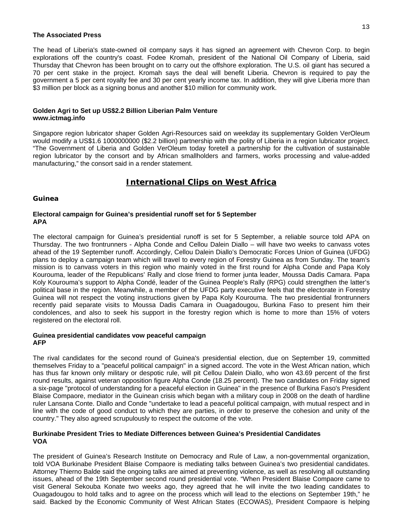#### **The Associated Press**

The head of Liberia's state-owned oil company says it has signed an agreement with Chevron Corp. to begin explorations off the country's coast. Fodee Kromah, president of the National Oil Company of Liberia, said Thursday that Chevron has been brought on to carry out the offshore exploration. The U.S. oil giant has secured a 70 per cent stake in the project. Kromah says the deal will benefit Liberia. Chevron is required to pay the government a 5 per cent royalty fee and 30 per cent yearly income tax. In addition, they will give Liberia more than \$3 million per block as a signing bonus and another \$10 million for community work.

#### **Golden Agri to Set up US\$2.2 Billion Liberian Palm Venture www.ictmag.info**

Singapore region lubricator shaper Golden Agri-Resources said on weekday its supplementary Golden VerOleum would modify a US\$1.6 1000000000 (\$2.2 billion) partnership with the polity of Liberia in a region lubricator project. "The Government of Liberia and Golden VerOleum today foretell a partnership for the cultivation of sustainable region lubricator by the consort and by African smallholders and farmers, works processing and value-added manufacturing," the consort said in a render statement.

# **International Clips on West Africa**

#### **Guinea**

#### **Electoral campaign for Guinea's presidential runoff set for 5 September APA**

The electoral campaign for Guinea's presidential runoff is set for 5 September, a reliable source told APA on Thursday. The two frontrunners - Alpha Conde and Cellou Dalein Diallo – will have two weeks to canvass votes ahead of the 19 September runoff. Accordingly, Cellou Dalein Diallo's Democratic Forces Union of Guinea (UFDG) plans to deploy a campaign team which will travel to every region of Forestry Guinea as from Sunday. The team's mission is to canvass voters in this region who mainly voted in the first round for Alpha Conde and Papa Koly Kourouma, leader of the Republicans' Rally and close friend to former junta leader, Moussa Dadis Camara. Papa Koly Kourouma's support to Alpha Condé, leader of the Guinea People's Rally (RPG) could strengthen the latter's political base in the region. Meanwhile, a member of the UFDG party executive feels that the electorate in Forestry Guinea will not respect the voting instructions given by Papa Koly Kourouma. The two presidential frontrunners recently paid separate visits to Moussa Dadis Camara in Ouagadougou, Burkina Faso to present him their condolences, and also to seek his support in the forestry region which is home to more than 15% of voters registered on the electoral roll.

#### **Guinea presidential candidates vow peaceful campaign AFP**

The rival candidates for the second round of Guinea's presidential election, due on September 19, committed themselves Friday to a "peaceful political campaign" in a signed accord. The vote in the West African nation, which has thus far known only military or despotic rule, will pit Cellou Dalein Diallo, who won 43.69 percent of the first round results, against veteran opposition figure Alpha Conde (18.25 percent). The two candidates on Friday signed a six-page "protocol of understanding for a peaceful election in Guinea" in the presence of Burkina Faso's President Blaise Compaore, mediator in the Guinean crisis which began with a military coup in 2008 on the death of hardline ruler Lansana Conte. Diallo and Conde "undertake to lead a peaceful political campaign, with mutual respect and in line with the code of good conduct to which they are parties, in order to preserve the cohesion and unity of the country." They also agreed scrupulously to respect the outcome of the vote.

#### **Burkinabe President Tries to Mediate Differences between Guinea's Presidential Candidates VOA**

The president of Guinea's Research Institute on Democracy and Rule of Law, a non-governmental organization, told VOA Burkinabe President Blaise Compaore is mediating talks between Guinea's two presidential candidates. Attorney Thierno Balde said the ongoing talks are aimed at preventing violence, as well as resolving all outstanding issues, ahead of the 19th September second round presidential vote. "When President Blaise Compaore came to visit General Sekouba Konate two weeks ago, they agreed that he will invite the two leading candidates to Ouagadougou to hold talks and to agree on the process which will lead to the elections on September 19th," he said. Backed by the Economic Community of West African States (ECOWAS), President Compaore is helping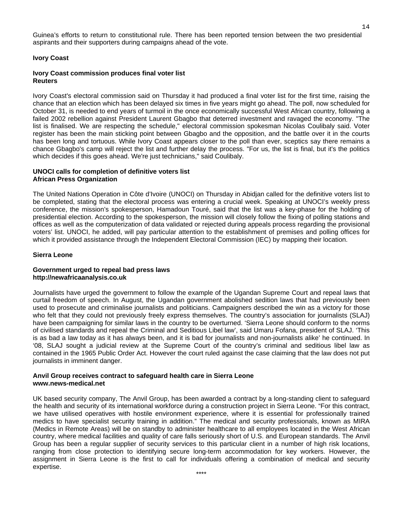Guinea's efforts to return to constitutional rule. There has been reported tension between the two presidential aspirants and their supporters during campaigns ahead of the vote.

#### **Ivory Coast**

#### **Ivory Coast commission produces final voter list Reuters**

Ivory Coast's electoral commission said on Thursday it had produced a final voter list for the first time, raising the chance that an election which has been delayed six times in five years might go ahead. The poll, now scheduled for October 31, is needed to end years of turmoil in the once economically successful West African country, following a failed 2002 rebellion against President Laurent Gbagbo that deterred investment and ravaged the economy. "The list is finalised. We are respecting the schedule," electoral commission spokesman Nicolas Coulibaly said. Voter register has been the main sticking point between Gbagbo and the opposition, and the battle over it in the courts has been long and tortuous. While Ivory Coast appears closer to the poll than ever, sceptics say there remains a chance Gbagbo's camp will reject the list and further delay the process. "For us, the list is final, but it's the politics which decides if this goes ahead. We're just technicians," said Coulibaly.

#### **UNOCI calls for completion of definitive voters list African Press Organization**

The United Nations Operation in Côte d'Ivoire (UNOCI) on Thursday in Abidjan called for the definitive voters list to be completed, stating that the electoral process was entering a crucial week. Speaking at UNOCI's weekly press conference, the mission's spokesperson, Hamadoun Touré, said that the list was a key-phase for the holding of presidential election. According to the spokesperson, the mission will closely follow the fixing of polling stations and offices as well as the computerization of data validated or rejected during appeals process regarding the provisional voters' list. UNOCI, he added, will pay particular attention to the establishment of premises and polling offices for which it provided assistance through the Independent Electoral Commission (IEC) by mapping their location.

#### **Sierra Leone**

#### **Government urged to repeal bad press laws http://newafricaanalysis.co.uk**

Journalists have urged the government to follow the example of the Ugandan Supreme Court and repeal laws that curtail freedom of speech. In August, the Ugandan government abolished sedition laws that had previously been used to prosecute and criminalise journalists and politicians. Campaigners described the win as a victory for those who felt that they could not previously freely express themselves. The country's association for journalists (SLAJ) have been campaigning for similar laws in the country to be overturned. 'Sierra Leone should conform to the norms of civilised standards and repeal the Criminal and Seditious Libel law', said Umaru Fofana, president of SLAJ. 'This is as bad a law today as it has always been, and it is bad for journalists and non-journalists alike' he continued. In '08, SLAJ sought a judicial review at the Supreme Court of the country's criminal and seditious libel law as contained in the 1965 Public Order Act. However the court ruled against the case claiming that the law does not put journalists in imminent danger.

#### **Anvil Group receives contract to safeguard health care in Sierra Leone www.news-medical.net**

UK based security company, The Anvil Group, has been awarded a contract by a long-standing client to safeguard the health and security of its international workforce during a construction project in Sierra Leone. "For this contract, we have utilised operatives with hostile environment experience, where it is essential for professionally trained medics to have specialist security training in addition." The medical and security professionals, known as MIRA (Medics in Remote Areas) will be on standby to administer healthcare to all employees located in the West African country, where medical facilities and quality of care falls seriously short of U.S. and European standards. The Anvil Group has been a regular supplier of security services to this particular client in a number of high risk locations, ranging from close protection to identifying secure long-term accommodation for key workers. However, the assignment in Sierra Leone is the first to call for individuals offering a combination of medical and security expertise.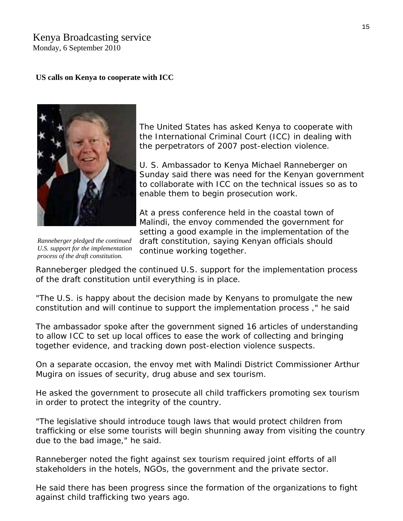# Kenya Broadcasting service

Monday, 6 September 2010

### **US calls on Kenya to cooperate with ICC**



The United States has asked Kenya to cooperate with the International Criminal Court (ICC) in dealing with the perpetrators of 2007 post-election violence.

U. S. Ambassador to Kenya Michael Ranneberger on Sunday said there was need for the Kenyan government to collaborate with ICC on the technical issues so as to enable them to begin prosecution work.

At a press conference held in the coastal town of Malindi, the envoy commended the government for setting a good example in the implementation of the

*Ranneberger pledged the continued U.S. support for the implementation process of the draft constitution.*

draft constitution, saying Kenyan officials should continue working together.

Ranneberger pledged the continued U.S. support for the implementation process of the draft constitution until everything is in place.

"The U.S. is happy about the decision made by Kenyans to promulgate the new constitution and will continue to support the implementation process ," he said

The ambassador spoke after the government signed 16 articles of understanding to allow ICC to set up local offices to ease the work of collecting and bringing together evidence, and tracking down post-election violence suspects.

On a separate occasion, the envoy met with Malindi District Commissioner Arthur Mugira on issues of security, drug abuse and sex tourism.

He asked the government to prosecute all child traffickers promoting sex tourism in order to protect the integrity of the country.

"The legislative should introduce tough laws that would protect children from trafficking or else some tourists will begin shunning away from visiting the country due to the bad image," he said.

Ranneberger noted the fight against sex tourism required joint efforts of all stakeholders in the hotels, NGOs, the government and the private sector.

He said there has been progress since the formation of the organizations to fight against child trafficking two years ago.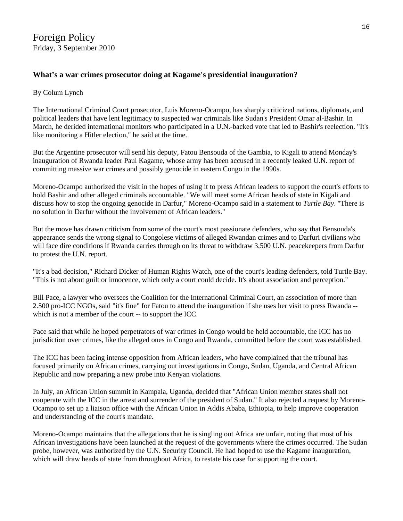# **[What's a war crimes prosecutor doing at Kagame's presidential inauguration?](http://turtlebay.foreignpolicy.com/posts/2010/09/03/what_s_a_war_crimes_prosecutor_doing_at_a_war_criminal_s_presidential_inauguration)**

#### By [Colum Lynch](http://turtlebay.foreignpolicy.com/blog/16159)

The International Criminal Court prosecutor, Luis Moreno-Ocampo, has sharply criticized nations, diplomats, and political leaders that have lent legitimacy to suspected war criminals like Sudan's President Omar al-Bashir. In March, he derided international monitors who participated in a U.N.-backed vote that led to Bashir's reelection. "It's like monitoring a Hitler election," [he said](http://bit.ly/9ZPjiR) at the time.

But the Argentine prosecutor will send his deputy, Fatou Bensouda of the Gambia, to Kigali to attend Monday's inauguration of Rwanda leader Paul Kagame, whose army has been [accused](http://bit.ly/9DAUyx) in a recently leaked U.N. report of committing massive war crimes and possibly genocide in eastern Congo in the 1990s.

Moreno-Ocampo authorized the visit in the hopes of using it to press African leaders to support the court's efforts to hold Bashir and other alleged criminals accountable. "We will meet some African heads of state in Kigali and discuss how to stop the ongoing genocide in Darfur," Moreno-Ocampo said in a statement to *Turtle Bay*. "There is no solution in Darfur without the involvement of African leaders."

But the move has drawn criticism from some of the court's most passionate defenders, who say that Bensouda's appearance sends the wrong signal to Congolese victims of alleged Rwandan crimes and to Darfuri civilians who will face dire conditions if Rwanda carries through on its threat to withdraw 3,500 U.N. peacekeepers from Darfur to protest the U.N. report.

"It's a bad decision," Richard Dicker of Human Rights Watch, one of the court's leading defenders, told Turtle Bay. "This is not about guilt or innocence, which only a court could decide. It's about association and perception."

Bill Pace, a lawyer who oversees the Coalition for the International Criminal Court, an association of more than 2.500 pro-ICC NGOs, said "it's fine" for Fatou to attend the inauguration if she uses her visit to press Rwanda - which is not a member of the court -- to support the ICC.

Pace said that while he hoped perpetrators of war crimes in Congo would be held accountable, the ICC has no jurisdiction over crimes, like the alleged ones in Congo and Rwanda, committed before the court was established.

The ICC has been facing intense opposition from African leaders, who have complained that the tribunal has focused primarily on African crimes, carrying out investigations in Congo, Sudan, Uganda, and Central African Republic and now preparing a new probe into Kenyan violations.

In July, an African Union summit in Kampala, Uganda, [decided](http://bit.ly/ad3O6U) that "African Union member states shall not cooperate with the ICC in the arrest and surrender of the president of Sudan." It also rejected a request by Moreno-Ocampo to set up a liaison office with the African Union in Addis Ababa, Ethiopia, to help improve cooperation and understanding of the court's mandate.

Moreno-Ocampo maintains that the allegations that he is singling out Africa are unfair, noting that most of his African investigations have been launched at the request of the governments where the crimes occurred. The Sudan probe, however, was authorized by the U.N. Security Council. He had hoped to use the Kagame inauguration, which will draw heads of state from throughout Africa, to restate his case for supporting the court.